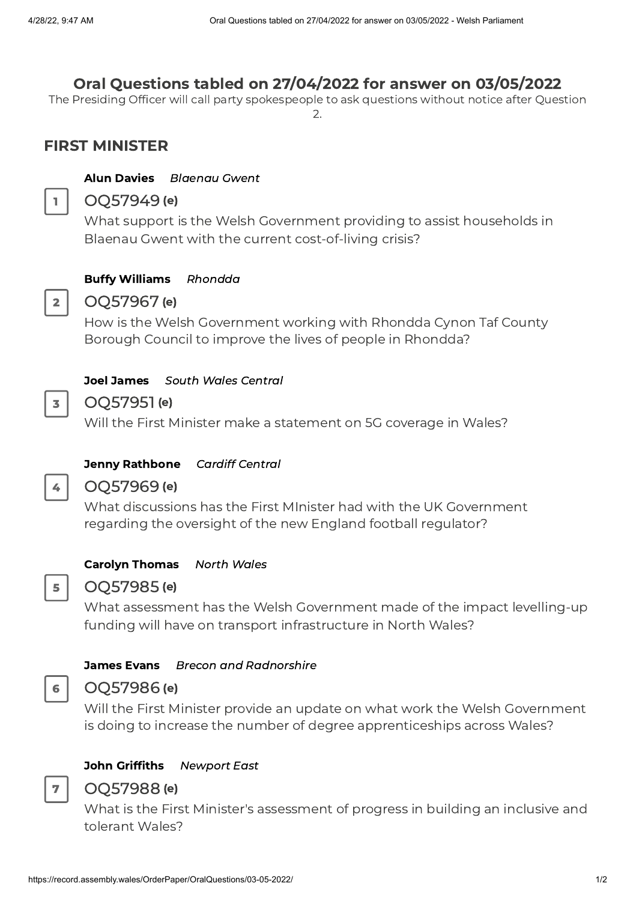# Oral Questions tabled on 27/04/2022 for answer on 03/05/2022

The Presiding Officer will call party spokespeople to ask questions without notice after Question  $\mathcal{L}$ 

# FIRST MINISTER

#### Alun Davies [Blaenau](https://business.senedd.wales/mgUserInfo.aspx?UID=225) Gwent



### OQ57949 (e)

What support is the Welsh Government providing to assist households in Blaenau Gwent with the current cost-of-living crisis?



3

4

# Buffy Williams [Rhondda](https://business.senedd.wales/mgUserInfo.aspx?UID=8695) OQ57967 (e)

How is the Welsh Government working with Rhondda Cynon Taf County Borough Council to improve the lives of people in Rhondda?

#### Joel James South Wales [Central](https://business.senedd.wales/mgUserInfo.aspx?UID=8687)

### OQ57951(e)

Will the First Minister make a statement on 5G coverage in Wales?

#### Jenny [Rathbone](https://business.senedd.wales/mgUserInfo.aspx?UID=241) Cardiff Central

### OQ57969 (e)

What discussions has the First MInister had with the UK Government regarding the oversight of the new England football regulator?

#### Carolyn [Thomas](https://business.senedd.wales/mgUserInfo.aspx?UID=5143) North Wales



6

7

### OQ57985 (e)

What assessment has the Welsh Government made of the impact levelling-up funding will have on transport infrastructure in North Wales?

#### James Evans Brecon and [Radnorshire](https://business.senedd.wales/mgUserInfo.aspx?UID=8585)

#### OQ57986 (e)

Will the First Minister provide an update on what work the Welsh Government is doing to increase the number of degree apprenticeships across Wales?

## John Griffiths [Newport](https://business.senedd.wales/mgUserInfo.aspx?UID=153) East

### OQ57988 (e)

What is the First Minister's assessment of progress in building an inclusive and tolerant Wales?